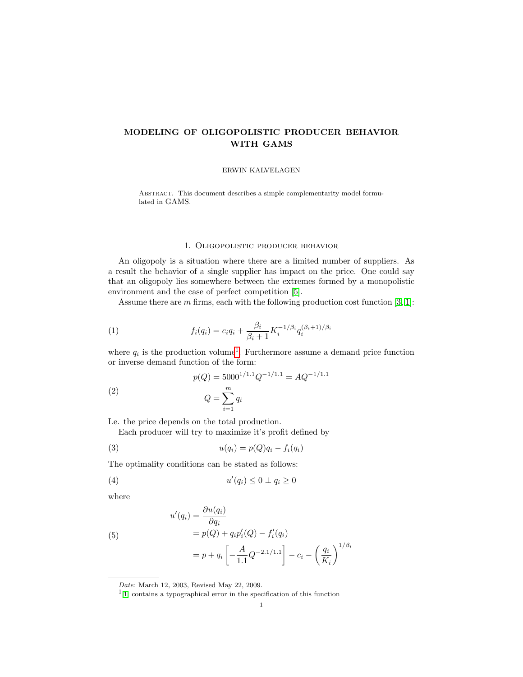# MODELING OF OLIGOPOLISTIC PRODUCER BEHAVIOR WITH GAMS

## ERWIN KALVELAGEN

ABSTRACT. This document describes a simple complementarity model formulated in GAMS.

### 1. Oligopolistic producer behavior

An oligopoly is a situation where there are a limited number of suppliers. As a result the behavior of a single supplier has impact on the price. One could say that an oligopoly lies somewhere between the extremes formed by a monopolistic environment and the case of perfect competition [\[5\]](#page-5-0).

Assume there are  $m$  firms, each with the following production cost function [\[3,](#page-5-1) [1\]](#page-5-2):

(1) 
$$
f_i(q_i) = c_i q_i + \frac{\beta_i}{\beta_i + 1} K_i^{-1/\beta_i} q_i^{(\beta_i + 1)/\beta_i}
$$

where  $q_i$  is the production volume<sup>[1](#page-0-0)</sup>. Furthermore assume a demand price function or inverse demand function of the form:

(2) 
$$
p(Q) = 5000^{1/1.1} Q^{-1/1.1} = AQ^{-1/1.1}
$$

$$
Q = \sum_{i=1}^{m} q_i
$$

I.e. the price depends on the total production.

Each producer will try to maximize it's profit defined by

$$
(3) \t u(q_i) = p(Q)q_i - f_i(q_i)
$$

The optimality conditions can be stated as follows:

$$
(4) \t u'(q_i) \leq 0 \perp q_i \geq 0
$$

where

(5)  
\n
$$
u'(q_i) = \frac{\partial u(q_i)}{\partial q_i}
$$
\n
$$
= p(Q) + q_i p'_i(Q) - f'_i(q_i)
$$
\n
$$
= p + q_i \left[ -\frac{A}{1.1} Q^{-2.1/1.1} \right] - c_i - \left( \frac{q_i}{K_i} \right)^{1/\beta_i}
$$

Date: March 12, 2003, Revised May 22, 2009.

<span id="page-0-0"></span><sup>1</sup> [\[1\]](#page-5-2) contains a typographical error in the specification of this function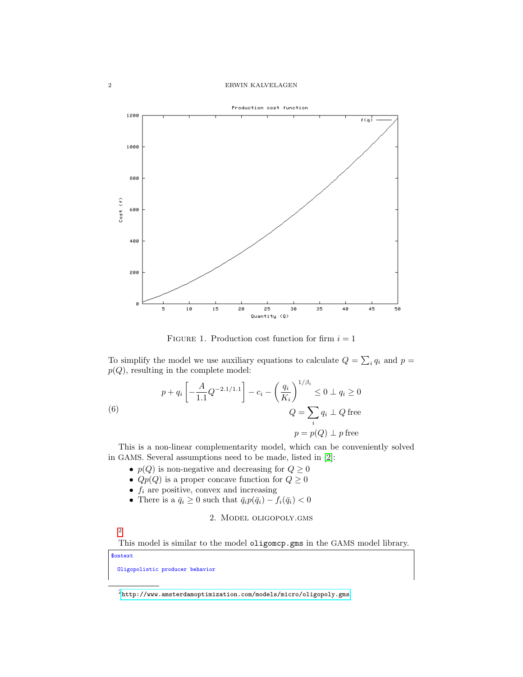

FIGURE 1. Production cost function for firm  $i = 1$ 

To simplify the model we use auxiliary equations to calculate  $Q = \sum_i q_i$  and  $p =$  $p(Q)$ , resulting in the complete model:

(6) 
$$
p + q_i \left[ -\frac{A}{1.1} Q^{-2.1/1.1} \right] - c_i - \left( \frac{q_i}{K_i} \right)^{1/\beta_i} \le 0 \perp q_i \ge 0
$$

$$
Q = \sum_i q_i \perp Q \text{ free}
$$

$$
p = p(Q) \perp p \text{ free}
$$

This is a non-linear complementarity model, which can be conveniently solved in GAMS. Several assumptions need to be made, listed in [\[2\]](#page-5-3):

- $p(Q)$  is non-negative and decreasing for  $Q \geq 0$
- $Qp(Q)$  is a proper concave function for  $Q \geq 0$
- $f_i$  are positive, convex and increasing
- There is a  $\bar{q}_i \geq 0$  such that  $\bar{q}_i p(\bar{q}_i) f_i(\bar{q}_i) < 0$

2. Model oligopoly.gms

[2](#page-1-0)

This model is similar to the model oligomcp.gms in the GAMS model library.

\$ontext

Oligopolistic producer behavior

<span id="page-1-0"></span> $2$ <http://www.amsterdamoptimization.com/models/micro/oligopoly.gms>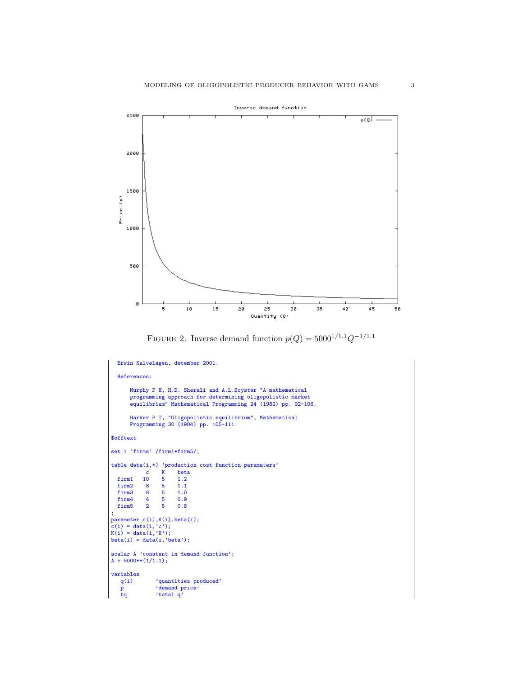

FIGURE 2. Inverse demand function  $p(Q) = 5000^{1/1.1}Q^{-1/1.1}$ 

```
Erwin Kalvelagen, december 2001.
  References:
          Murphy F H, H.D. Sherali and A.L.Soyster "A mathematical
programming approach for determining oligopolistic market
equilibrium" Mathematical Programming 24 (1982) pp. 92-106.
          Harker P T, "Oligopolistic equilibrium", Mathematical
Programming 30 (1984) pp. 105-111.
$offtext
set i 'firms' /firm1*firm5/;
table data(i,*) 'production cost function paramaters'
c K beta
  firm1 10 5 1.2
  firm2 8 5 1.1
  firm3 6 5 1.0<br>firm4 4 5 0.9<br>firm5 2 5 0.8
  firm4 4 5 0.9
  firm5;<br>parameter c(i),K(i),beta(i);<br>c(i) = data(i,'c');<br>K(i) = data(i,'K');<br>beta(i) = data(i,'beta');
scalar A 'constant in demand function';<br>A = 5000**(1/1.1);
\begin{array}{c} \texttt{variables}\\ \texttt{q(i)} \end{array}q(i) 'quantities produced'<br>
p 'demand price'<br>
tq 'total q'
     p 'demand price'
tq 'total q'
```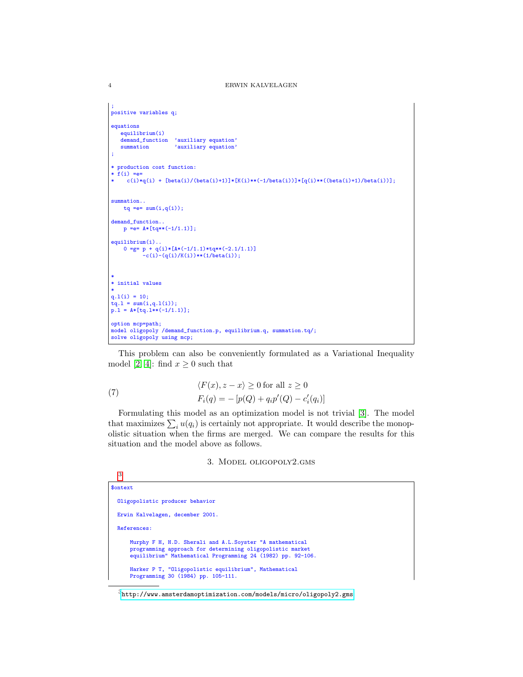```
;
positive variables q;
equations
   equilibrium(i)
   demand_function 'auxiliary equation'<br>summation 'auxiliary equation'
                          'auxiliary equation'
;
* production cost function:
* f(i) =e=
      c(i)*q(i) + [beta(i)/(beta(i)+1)]*[K(i)**(-1/beta(i))]*[q(i)**((beta(i)+1)/beta(i))];
summation..
     tq == sum(i,q(i));demand_function..<br>
p == A * [tq**(-1/1.1)];
equilibrium(i)..
      0 =g= p + q(i)*[A*(-1/1.1)*tq**(-2.1/1.1)]
-c(i)-(q(i)/K(i))**(1/beta(i));
*
* initial values
*
q.l(i) = 10;
tq.l = sum(i,q.l(i));
p.l = A*[tq.l**(-1/1.1)];
option mcp=path;
model oligopoly /demand_function.p, equilibrium.q, summation.tq/;
solve oligopoly using mcp;
```
This problem can also be conveniently formulated as a Variational Inequality model [\[2,](#page-5-3) [4\]](#page-5-4): find  $x \geq 0$  such that

(7) 
$$
\langle F(x), z - x \rangle \ge 0 \text{ for all } z \ge 0
$$

$$
F_i(q) = -[p(Q) + q_i p'(Q) - c'_i(q_i)]
$$

 $\overline{2}$ 

Formulating this model as an optimization model is not trivial [\[3\]](#page-5-1). The model that maximizes  $\sum_i u(q_i)$  is certainly not appropriate. It would describe the monopolistic situation when the firms are merged. We can compare the results for this situation and the model above as follows.

### 3. Model oligopoly2.gms

| <b>Sontext</b>                                                                                                                                                                        |
|---------------------------------------------------------------------------------------------------------------------------------------------------------------------------------------|
| Oligopolistic producer behavior                                                                                                                                                       |
| Erwin Kalvelagen, december 2001.                                                                                                                                                      |
| References:                                                                                                                                                                           |
| Murphy F H, H.D. Sherali and A.L. Soyster "A mathematical<br>programming approach for determining oligopolistic market<br>equilibrium" Mathematical Programming 24 (1982) pp. 92-106. |
| Harker P T, "Oligopolistic equilibrium", Mathematical<br>Programming 30 (1984) pp. 105-111.                                                                                           |

<span id="page-3-0"></span> $3$ <http://www.amsterdamoptimization.com/models/micro/oligopoly2.gms>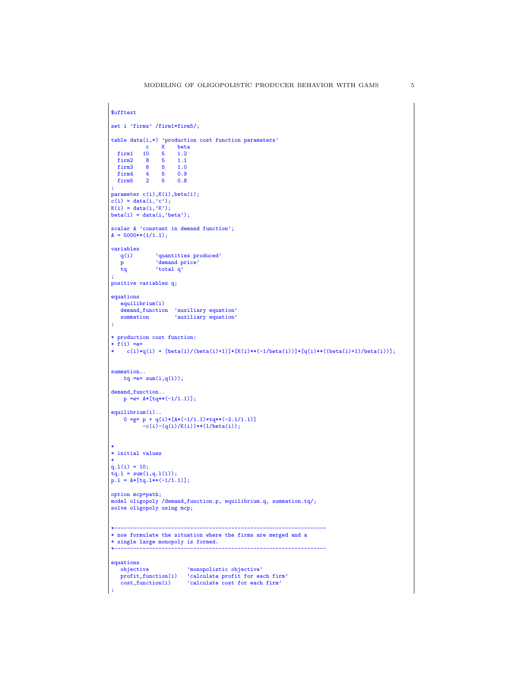```
$offtext
set i 'firms' /firm1*firm5/;
table data(i,*) 'production cost function paramaters'
              \begin{array}{ccc} c & K & beta \\ 10 & 5 & 1.2 \end{array}firm1 10<br>firm2 8
   firm2 8 5 1.1
firm3 6 5 1.0
firm4 4 5 0.9
firm5 2 5 0.8
;
parameter c(i),K(i),beta(i);
c(i) = data(i,'c');
K(i) = data(i,'K');
beta(i) = data(i, 'beta');scalar A 'constant in demand function';
A = 5000**(1/1.1);
variables
    q(i) 'quantities produced'
p 'demand price'
   tq 'total q'
;
positive variables q;
equations
  equilibrium(i)
    demand_function 'auxiliary equation'
summation 'auxiliary equation'
;
* production cost function:
* f(i) = e=* c(i)*q(i) + [beta(i)/(beta(i)+1)]*[K(i)**(-1/beta(i))]*[q(i)**((beta(i)+1)/beta(i))];
summation..
  tq = e = sum(i,q(i));demand_function..
    p == A * [tq**(-1/1.1)];equilibrium(i)..
      0 =g= p + q(i)*[A*(-1/1.1)*tq**(-2.1/1.1)]
-c(i)-(q(i)/K(i))**(1/beta(i));
*
* initial values
*
q.l(i) = 10;
tq.l = sum(i,q.l(i));
p.l = A*[tq.l**(-1/1.1)];
option mcp=path;
model oligopoly /demand_function.p, equilibrium.q, summation.tq/;
solve oligopoly using mcp;
*-------------------------------------------------------------------
* now formulate the situation where the firms are merged and a
* single large monopoly is formed.
*-------------------------------------------------------------------
equations
    objective 'monopolistic objective'
profit_function(i) 'calculate profit for each firm'
cost_function(i) 'calculate cost for each firm'
;
```